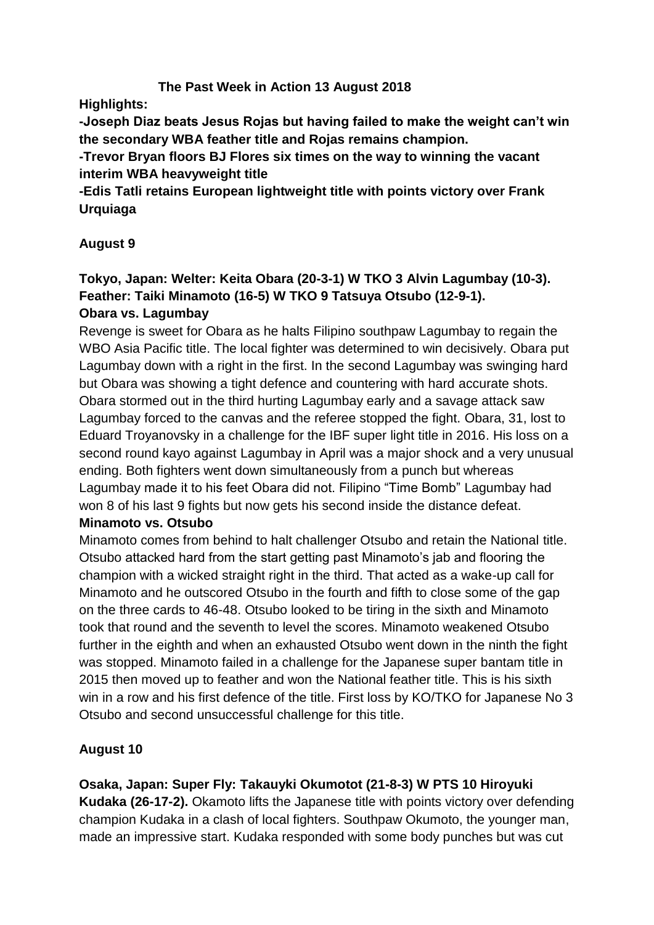# **The Past Week in Action 13 August 2018**

**Highlights:**

**-Joseph Diaz beats Jesus Rojas but having failed to make the weight can't win the secondary WBA feather title and Rojas remains champion.**

**-Trevor Bryan floors BJ Flores six times on the way to winning the vacant interim WBA heavyweight title**

**-Edis Tatli retains European lightweight title with points victory over Frank Urquiaga** 

# **August 9**

# **Tokyo, Japan: Welter: Keita Obara (20-3-1) W TKO 3 Alvin Lagumbay (10-3). Feather: Taiki Minamoto (16-5) W TKO 9 Tatsuya Otsubo (12-9-1). Obara vs. Lagumbay**

Revenge is sweet for Obara as he halts Filipino southpaw Lagumbay to regain the WBO Asia Pacific title. The local fighter was determined to win decisively. Obara put Lagumbay down with a right in the first. In the second Lagumbay was swinging hard but Obara was showing a tight defence and countering with hard accurate shots. Obara stormed out in the third hurting Lagumbay early and a savage attack saw Lagumbay forced to the canvas and the referee stopped the fight. Obara, 31, lost to Eduard Troyanovsky in a challenge for the IBF super light title in 2016. His loss on a second round kayo against Lagumbay in April was a major shock and a very unusual ending. Both fighters went down simultaneously from a punch but whereas Lagumbay made it to his feet Obara did not. Filipino "Time Bomb" Lagumbay had won 8 of his last 9 fights but now gets his second inside the distance defeat.

#### **Minamoto vs. Otsubo**

Minamoto comes from behind to halt challenger Otsubo and retain the National title. Otsubo attacked hard from the start getting past Minamoto's jab and flooring the champion with a wicked straight right in the third. That acted as a wake-up call for Minamoto and he outscored Otsubo in the fourth and fifth to close some of the gap on the three cards to 46-48. Otsubo looked to be tiring in the sixth and Minamoto took that round and the seventh to level the scores. Minamoto weakened Otsubo further in the eighth and when an exhausted Otsubo went down in the ninth the fight was stopped. Minamoto failed in a challenge for the Japanese super bantam title in 2015 then moved up to feather and won the National feather title. This is his sixth win in a row and his first defence of the title. First loss by KO/TKO for Japanese No 3 Otsubo and second unsuccessful challenge for this title.

#### **August 10**

**Osaka, Japan: Super Fly: Takauyki Okumotot (21-8-3) W PTS 10 Hiroyuki** 

**Kudaka (26-17-2).** Okamoto lifts the Japanese title with points victory over defending champion Kudaka in a clash of local fighters. Southpaw Okumoto, the younger man, made an impressive start. Kudaka responded with some body punches but was cut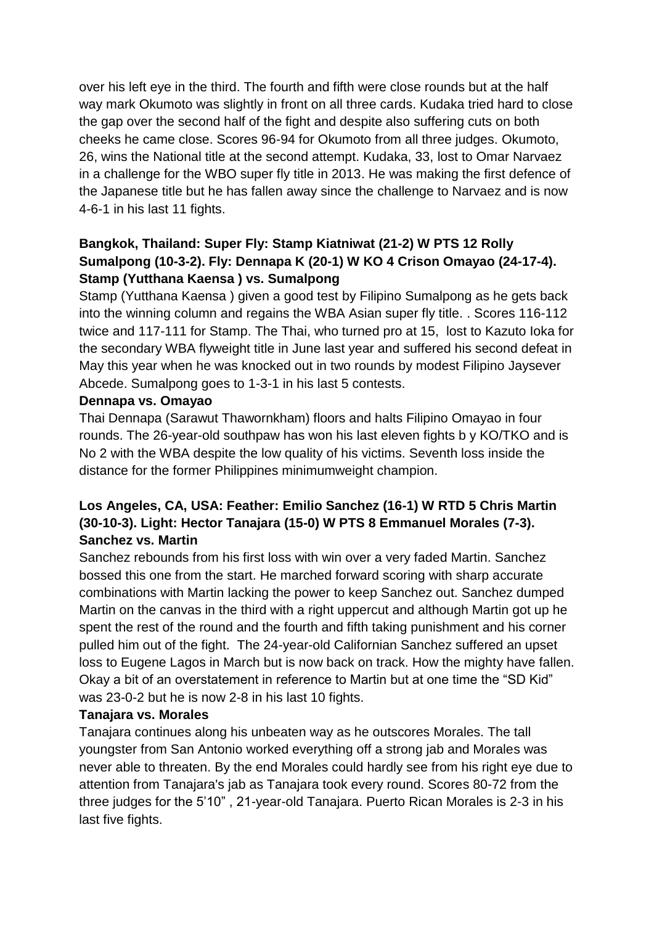over his left eye in the third. The fourth and fifth were close rounds but at the half way mark Okumoto was slightly in front on all three cards. Kudaka tried hard to close the gap over the second half of the fight and despite also suffering cuts on both cheeks he came close. Scores 96-94 for Okumoto from all three judges. Okumoto, 26, wins the National title at the second attempt. Kudaka, 33, lost to Omar Narvaez in a challenge for the WBO super fly title in 2013. He was making the first defence of the Japanese title but he has fallen away since the challenge to Narvaez and is now 4-6-1 in his last 11 fights.

# **Bangkok, Thailand: Super Fly: Stamp Kiatniwat (21-2) W PTS 12 Rolly Sumalpong (10-3-2). Fly: Dennapa K (20-1) W KO 4 Crison Omayao (24-17-4). Stamp (Yutthana Kaensa ) vs. Sumalpong**

Stamp (Yutthana Kaensa ) given a good test by Filipino Sumalpong as he gets back into the winning column and regains the WBA Asian super fly title. . Scores 116-112 twice and 117-111 for Stamp. The Thai, who turned pro at 15, lost to Kazuto Ioka for the secondary WBA flyweight title in June last year and suffered his second defeat in May this year when he was knocked out in two rounds by modest Filipino Jaysever Abcede. Sumalpong goes to 1-3-1 in his last 5 contests.

#### **Dennapa vs. Omayao**

Thai Dennapa (Sarawut Thawornkham) floors and halts Filipino Omayao in four rounds. The 26-year-old southpaw has won his last eleven fights b y KO/TKO and is No 2 with the WBA despite the low quality of his victims. Seventh loss inside the distance for the former Philippines minimumweight champion.

# **Los Angeles, CA, USA: Feather: Emilio Sanchez (16-1) W RTD 5 Chris Martin (30-10-3). Light: Hector Tanajara (15-0) W PTS 8 Emmanuel Morales (7-3). Sanchez vs. Martin**

Sanchez rebounds from his first loss with win over a very faded Martin. Sanchez bossed this one from the start. He marched forward scoring with sharp accurate combinations with Martin lacking the power to keep Sanchez out. Sanchez dumped Martin on the canvas in the third with a right uppercut and although Martin got up he spent the rest of the round and the fourth and fifth taking punishment and his corner pulled him out of the fight. The 24-year-old Californian Sanchez suffered an upset loss to Eugene Lagos in March but is now back on track. How the mighty have fallen. Okay a bit of an overstatement in reference to Martin but at one time the "SD Kid" was 23-0-2 but he is now 2-8 in his last 10 fights.

#### **Tanajara vs. Morales**

Tanajara continues along his unbeaten way as he outscores Morales. The tall youngster from San Antonio worked everything off a strong jab and Morales was never able to threaten. By the end Morales could hardly see from his right eye due to attention from Tanajara's jab as Tanajara took every round. Scores 80-72 from the three judges for the 5'10" , 21-year-old Tanajara. Puerto Rican Morales is 2-3 in his last five fights.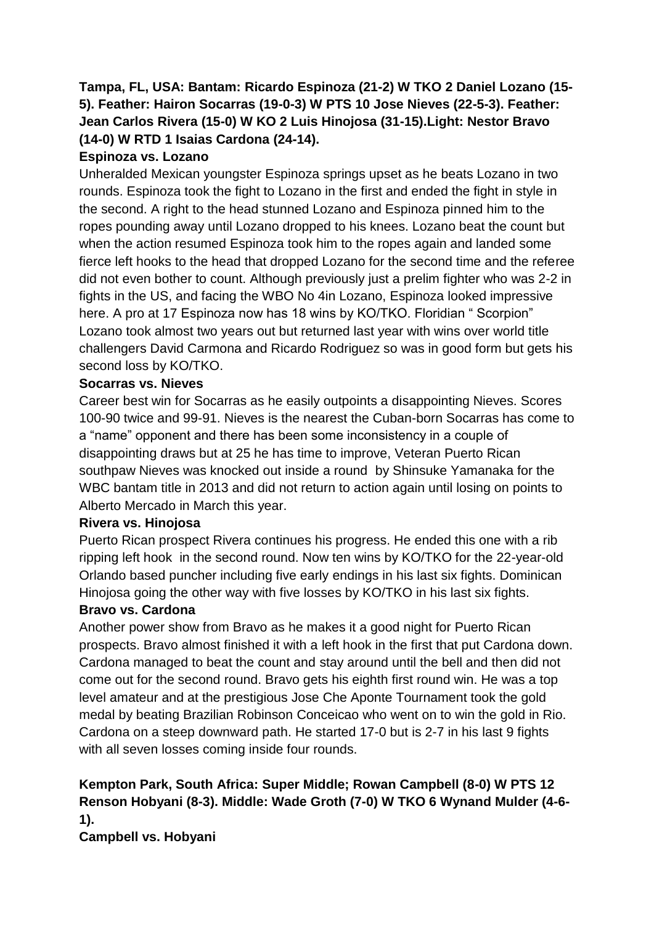# **Tampa, FL, USA: Bantam: Ricardo Espinoza (21-2) W TKO 2 Daniel Lozano (15- 5). Feather: Hairon Socarras (19-0-3) W PTS 10 Jose Nieves (22-5-3). Feather: Jean Carlos Rivera (15-0) W KO 2 Luis Hinojosa (31-15).Light: Nestor Bravo (14-0) W RTD 1 Isaias Cardona (24-14).**

# **Espinoza vs. Lozano**

Unheralded Mexican youngster Espinoza springs upset as he beats Lozano in two rounds. Espinoza took the fight to Lozano in the first and ended the fight in style in the second. A right to the head stunned Lozano and Espinoza pinned him to the ropes pounding away until Lozano dropped to his knees. Lozano beat the count but when the action resumed Espinoza took him to the ropes again and landed some fierce left hooks to the head that dropped Lozano for the second time and the referee did not even bother to count. Although previously just a prelim fighter who was 2-2 in fights in the US, and facing the WBO No 4in Lozano, Espinoza looked impressive here. A pro at 17 Espinoza now has 18 wins by KO/TKO. Floridian "Scorpion" Lozano took almost two years out but returned last year with wins over world title challengers David Carmona and Ricardo Rodriguez so was in good form but gets his second loss by KO/TKO.

# **Socarras vs. Nieves**

Career best win for Socarras as he easily outpoints a disappointing Nieves. Scores 100-90 twice and 99-91. Nieves is the nearest the Cuban-born Socarras has come to a "name" opponent and there has been some inconsistency in a couple of disappointing draws but at 25 he has time to improve, Veteran Puerto Rican southpaw Nieves was knocked out inside a round by Shinsuke Yamanaka for the WBC bantam title in 2013 and did not return to action again until losing on points to Alberto Mercado in March this year.

# **Rivera vs. Hinojosa**

Puerto Rican prospect Rivera continues his progress. He ended this one with a rib ripping left hook in the second round. Now ten wins by KO/TKO for the 22-year-old Orlando based puncher including five early endings in his last six fights. Dominican Hinojosa going the other way with five losses by KO/TKO in his last six fights.

# **Bravo vs. Cardona**

Another power show from Bravo as he makes it a good night for Puerto Rican prospects. Bravo almost finished it with a left hook in the first that put Cardona down. Cardona managed to beat the count and stay around until the bell and then did not come out for the second round. Bravo gets his eighth first round win. He was a top level amateur and at the prestigious Jose Che Aponte Tournament took the gold medal by beating Brazilian Robinson Conceicao who went on to win the gold in Rio. Cardona on a steep downward path. He started 17-0 but is 2-7 in his last 9 fights with all seven losses coming inside four rounds.

# **Kempton Park, South Africa: Super Middle; Rowan Campbell (8-0) W PTS 12 Renson Hobyani (8-3). Middle: Wade Groth (7-0) W TKO 6 Wynand Mulder (4-6- 1).**

**Campbell vs. Hobyani**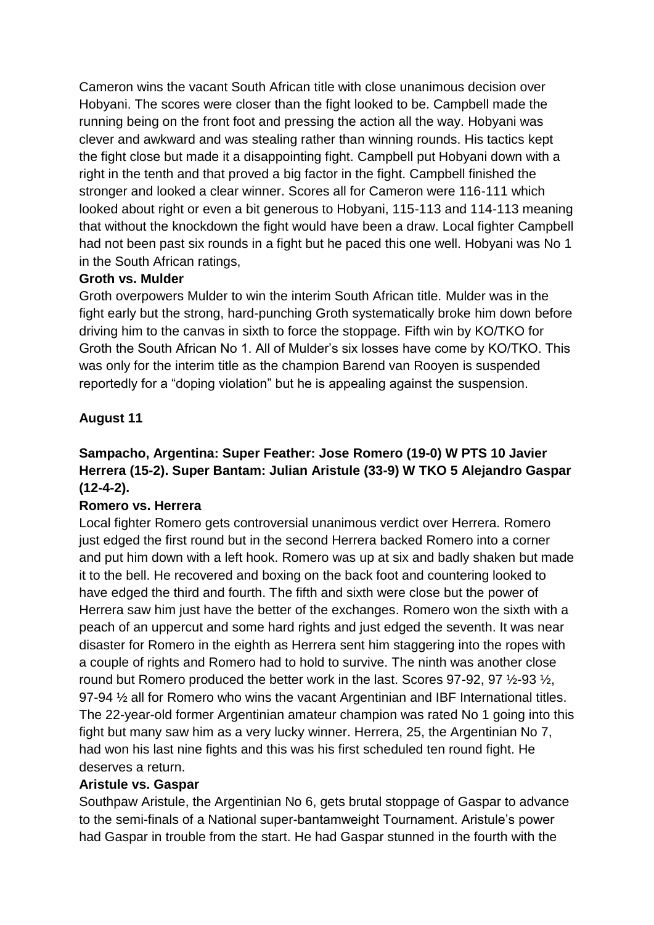Cameron wins the vacant South African title with close unanimous decision over Hobyani. The scores were closer than the fight looked to be. Campbell made the running being on the front foot and pressing the action all the way. Hobyani was clever and awkward and was stealing rather than winning rounds. His tactics kept the fight close but made it a disappointing fight. Campbell put Hobyani down with a right in the tenth and that proved a big factor in the fight. Campbell finished the stronger and looked a clear winner. Scores all for Cameron were 116-111 which looked about right or even a bit generous to Hobyani, 115-113 and 114-113 meaning that without the knockdown the fight would have been a draw. Local fighter Campbell had not been past six rounds in a fight but he paced this one well. Hobyani was No 1 in the South African ratings,

#### **Groth vs. Mulder**

Groth overpowers Mulder to win the interim South African title. Mulder was in the fight early but the strong, hard-punching Groth systematically broke him down before driving him to the canvas in sixth to force the stoppage. Fifth win by KO/TKO for Groth the South African No 1. All of Mulder's six losses have come by KO/TKO. This was only for the interim title as the champion Barend van Rooyen is suspended reportedly for a "doping violation" but he is appealing against the suspension.

# **August 11**

# **Sampacho, Argentina: Super Feather: Jose Romero (19-0) W PTS 10 Javier Herrera (15-2). Super Bantam: Julian Aristule (33-9) W TKO 5 Alejandro Gaspar (12-4-2).**

# **Romero vs. Herrera**

Local fighter Romero gets controversial unanimous verdict over Herrera. Romero just edged the first round but in the second Herrera backed Romero into a corner and put him down with a left hook. Romero was up at six and badly shaken but made it to the bell. He recovered and boxing on the back foot and countering looked to have edged the third and fourth. The fifth and sixth were close but the power of Herrera saw him just have the better of the exchanges. Romero won the sixth with a peach of an uppercut and some hard rights and just edged the seventh. It was near disaster for Romero in the eighth as Herrera sent him staggering into the ropes with a couple of rights and Romero had to hold to survive. The ninth was another close round but Romero produced the better work in the last. Scores 97-92, 97 ½-93 ½, 97-94 ½ all for Romero who wins the vacant Argentinian and IBF International titles. The 22-year-old former Argentinian amateur champion was rated No 1 going into this fight but many saw him as a very lucky winner. Herrera, 25, the Argentinian No 7, had won his last nine fights and this was his first scheduled ten round fight. He deserves a return.

#### **Aristule vs. Gaspar**

Southpaw Aristule, the Argentinian No 6, gets brutal stoppage of Gaspar to advance to the semi-finals of a National super-bantamweight Tournament. Aristule's power had Gaspar in trouble from the start. He had Gaspar stunned in the fourth with the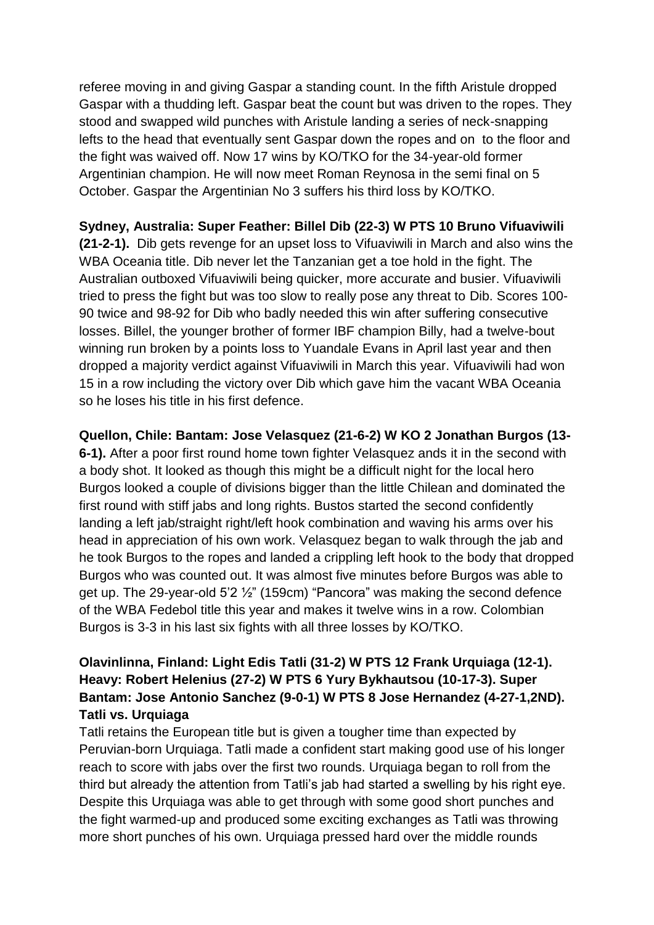referee moving in and giving Gaspar a standing count. In the fifth Aristule dropped Gaspar with a thudding left. Gaspar beat the count but was driven to the ropes. They stood and swapped wild punches with Aristule landing a series of neck-snapping lefts to the head that eventually sent Gaspar down the ropes and on to the floor and the fight was waived off. Now 17 wins by KO/TKO for the 34-year-old former Argentinian champion. He will now meet Roman Reynosa in the semi final on 5 October. Gaspar the Argentinian No 3 suffers his third loss by KO/TKO.

### **Sydney, Australia: Super Feather: Billel Dib (22-3) W PTS 10 Bruno Vifuaviwili**

**(21-2-1).** Dib gets revenge for an upset loss to Vifuaviwili in March and also wins the WBA Oceania title. Dib never let the Tanzanian get a toe hold in the fight. The Australian outboxed Vifuaviwili being quicker, more accurate and busier. Vifuaviwili tried to press the fight but was too slow to really pose any threat to Dib. Scores 100- 90 twice and 98-92 for Dib who badly needed this win after suffering consecutive losses. Billel, the younger brother of former IBF champion Billy, had a twelve-bout winning run broken by a points loss to Yuandale Evans in April last year and then dropped a majority verdict against Vifuaviwili in March this year. Vifuaviwili had won 15 in a row including the victory over Dib which gave him the vacant WBA Oceania so he loses his title in his first defence.

#### **Quellon, Chile: Bantam: Jose Velasquez (21-6-2) W KO 2 Jonathan Burgos (13-**

**6-1).** After a poor first round home town fighter Velasquez ands it in the second with a body shot. It looked as though this might be a difficult night for the local hero Burgos looked a couple of divisions bigger than the little Chilean and dominated the first round with stiff jabs and long rights. Bustos started the second confidently landing a left jab/straight right/left hook combination and waving his arms over his head in appreciation of his own work. Velasquez began to walk through the jab and he took Burgos to the ropes and landed a crippling left hook to the body that dropped Burgos who was counted out. It was almost five minutes before Burgos was able to get up. The 29-year-old 5'2 ½" (159cm) "Pancora" was making the second defence of the WBA Fedebol title this year and makes it twelve wins in a row. Colombian Burgos is 3-3 in his last six fights with all three losses by KO/TKO.

## **Olavinlinna, Finland: Light Edis Tatli (31-2) W PTS 12 Frank Urquiaga (12-1). Heavy: Robert Helenius (27-2) W PTS 6 Yury Bykhautsou (10-17-3). Super Bantam: Jose Antonio Sanchez (9-0-1) W PTS 8 Jose Hernandez (4-27-1,2ND). Tatli vs. Urquiaga**

Tatli retains the European title but is given a tougher time than expected by Peruvian-born Urquiaga. Tatli made a confident start making good use of his longer reach to score with jabs over the first two rounds. Urquiaga began to roll from the third but already the attention from Tatli's jab had started a swelling by his right eye. Despite this Urquiaga was able to get through with some good short punches and the fight warmed-up and produced some exciting exchanges as Tatli was throwing more short punches of his own. Urquiaga pressed hard over the middle rounds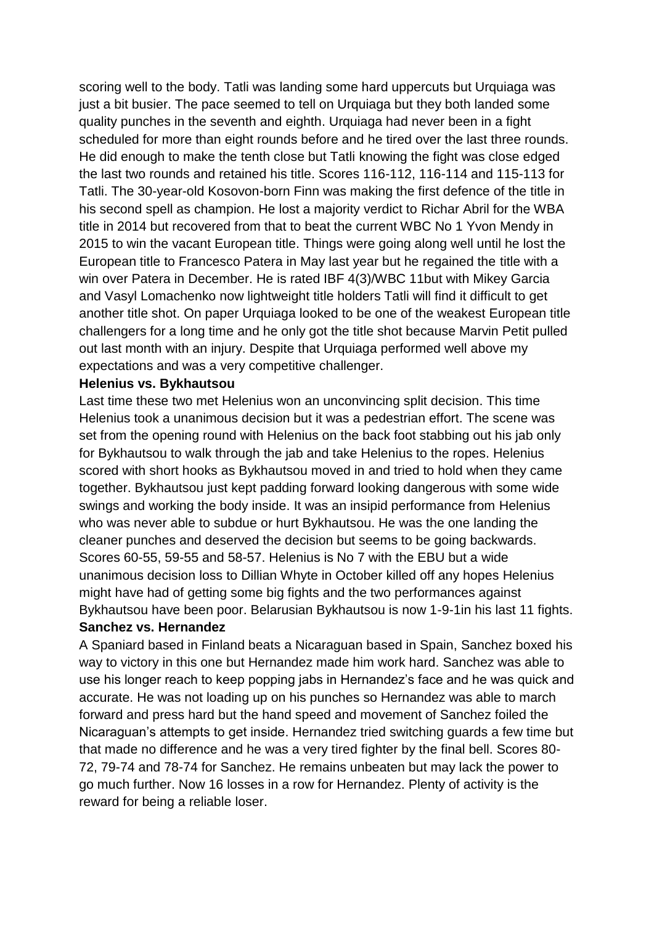scoring well to the body. Tatli was landing some hard uppercuts but Urquiaga was just a bit busier. The pace seemed to tell on Urquiaga but they both landed some quality punches in the seventh and eighth. Urquiaga had never been in a fight scheduled for more than eight rounds before and he tired over the last three rounds. He did enough to make the tenth close but Tatli knowing the fight was close edged the last two rounds and retained his title. Scores 116-112, 116-114 and 115-113 for Tatli. The 30-year-old Kosovon-born Finn was making the first defence of the title in his second spell as champion. He lost a majority verdict to Richar Abril for the WBA title in 2014 but recovered from that to beat the current WBC No 1 Yvon Mendy in 2015 to win the vacant European title. Things were going along well until he lost the European title to Francesco Patera in May last year but he regained the title with a win over Patera in December. He is rated IBF 4(3)/WBC 11but with Mikey Garcia and Vasyl Lomachenko now lightweight title holders Tatli will find it difficult to get another title shot. On paper Urquiaga looked to be one of the weakest European title challengers for a long time and he only got the title shot because Marvin Petit pulled out last month with an injury. Despite that Urquiaga performed well above my expectations and was a very competitive challenger.

#### **Helenius vs. Bykhautsou**

Last time these two met Helenius won an unconvincing split decision. This time Helenius took a unanimous decision but it was a pedestrian effort. The scene was set from the opening round with Helenius on the back foot stabbing out his jab only for Bykhautsou to walk through the jab and take Helenius to the ropes. Helenius scored with short hooks as Bykhautsou moved in and tried to hold when they came together. Bykhautsou just kept padding forward looking dangerous with some wide swings and working the body inside. It was an insipid performance from Helenius who was never able to subdue or hurt Bykhautsou. He was the one landing the cleaner punches and deserved the decision but seems to be going backwards. Scores 60-55, 59-55 and 58-57. Helenius is No 7 with the EBU but a wide unanimous decision loss to Dillian Whyte in October killed off any hopes Helenius might have had of getting some big fights and the two performances against Bykhautsou have been poor. Belarusian Bykhautsou is now 1-9-1in his last 11 fights. **Sanchez vs. Hernandez**

A Spaniard based in Finland beats a Nicaraguan based in Spain, Sanchez boxed his way to victory in this one but Hernandez made him work hard. Sanchez was able to use his longer reach to keep popping jabs in Hernandez's face and he was quick and accurate. He was not loading up on his punches so Hernandez was able to march forward and press hard but the hand speed and movement of Sanchez foiled the Nicaraguan's attempts to get inside. Hernandez tried switching guards a few time but that made no difference and he was a very tired fighter by the final bell. Scores 80- 72, 79-74 and 78-74 for Sanchez. He remains unbeaten but may lack the power to go much further. Now 16 losses in a row for Hernandez. Plenty of activity is the reward for being a reliable loser.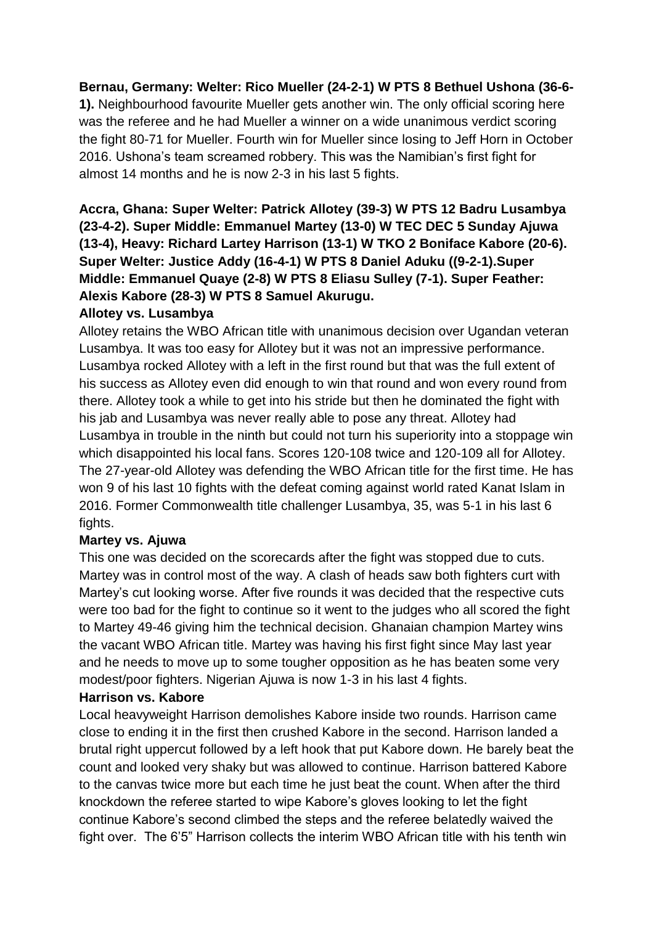### **Bernau, Germany: Welter: Rico Mueller (24-2-1) W PTS 8 Bethuel Ushona (36-6-**

**1).** Neighbourhood favourite Mueller gets another win. The only official scoring here was the referee and he had Mueller a winner on a wide unanimous verdict scoring the fight 80-71 for Mueller. Fourth win for Mueller since losing to Jeff Horn in October 2016. Ushona's team screamed robbery. This was the Namibian's first fight for almost 14 months and he is now 2-3 in his last 5 fights.

**Accra, Ghana: Super Welter: Patrick Allotey (39-3) W PTS 12 Badru Lusambya (23-4-2). Super Middle: Emmanuel Martey (13-0) W TEC DEC 5 Sunday Ajuwa (13-4), Heavy: Richard Lartey Harrison (13-1) W TKO 2 Boniface Kabore (20-6). Super Welter: Justice Addy (16-4-1) W PTS 8 Daniel Aduku ((9-2-1).Super Middle: Emmanuel Quaye (2-8) W PTS 8 Eliasu Sulley (7-1). Super Feather: Alexis Kabore (28-3) W PTS 8 Samuel Akurugu.** 

## **Allotey vs. Lusambya**

Allotey retains the WBO African title with unanimous decision over Ugandan veteran Lusambya. It was too easy for Allotey but it was not an impressive performance. Lusambya rocked Allotey with a left in the first round but that was the full extent of his success as Allotey even did enough to win that round and won every round from there. Allotey took a while to get into his stride but then he dominated the fight with his jab and Lusambya was never really able to pose any threat. Allotey had Lusambya in trouble in the ninth but could not turn his superiority into a stoppage win which disappointed his local fans. Scores 120-108 twice and 120-109 all for Allotey. The 27-year-old Allotey was defending the WBO African title for the first time. He has won 9 of his last 10 fights with the defeat coming against world rated Kanat Islam in 2016. Former Commonwealth title challenger Lusambya, 35, was 5-1 in his last 6 fights.

#### **Martey vs. Ajuwa**

This one was decided on the scorecards after the fight was stopped due to cuts. Martey was in control most of the way. A clash of heads saw both fighters curt with Martey's cut looking worse. After five rounds it was decided that the respective cuts were too bad for the fight to continue so it went to the judges who all scored the fight to Martey 49-46 giving him the technical decision. Ghanaian champion Martey wins the vacant WBO African title. Martey was having his first fight since May last year and he needs to move up to some tougher opposition as he has beaten some very modest/poor fighters. Nigerian Ajuwa is now 1-3 in his last 4 fights.

#### **Harrison vs. Kabore**

Local heavyweight Harrison demolishes Kabore inside two rounds. Harrison came close to ending it in the first then crushed Kabore in the second. Harrison landed a brutal right uppercut followed by a left hook that put Kabore down. He barely beat the count and looked very shaky but was allowed to continue. Harrison battered Kabore to the canvas twice more but each time he just beat the count. When after the third knockdown the referee started to wipe Kabore's gloves looking to let the fight continue Kabore's second climbed the steps and the referee belatedly waived the fight over. The 6'5" Harrison collects the interim WBO African title with his tenth win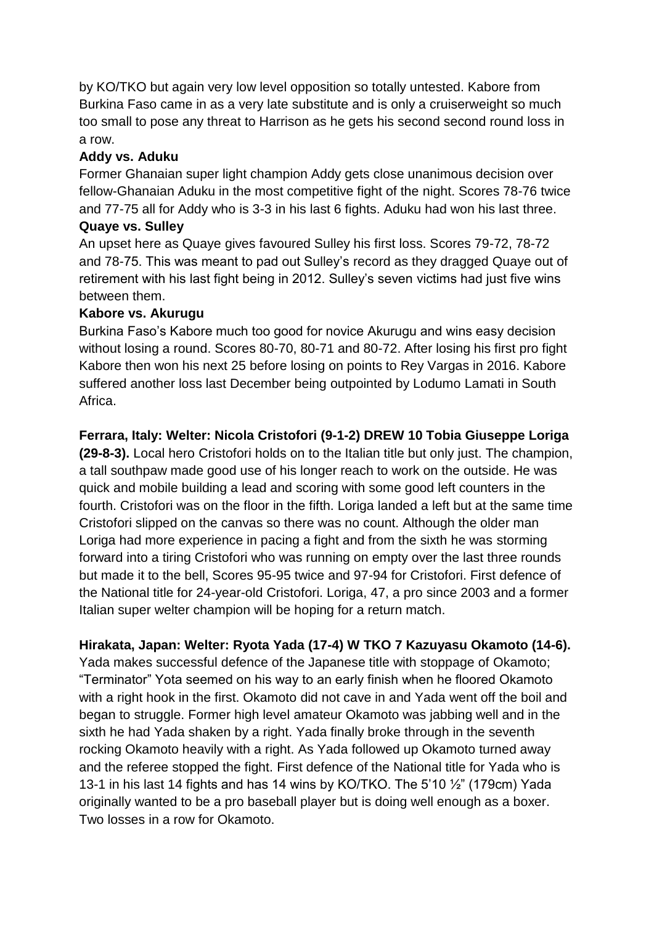by KO/TKO but again very low level opposition so totally untested. Kabore from Burkina Faso came in as a very late substitute and is only a cruiserweight so much too small to pose any threat to Harrison as he gets his second second round loss in a row.

# **Addy vs. Aduku**

Former Ghanaian super light champion Addy gets close unanimous decision over fellow-Ghanaian Aduku in the most competitive fight of the night. Scores 78-76 twice and 77-75 all for Addy who is 3-3 in his last 6 fights. Aduku had won his last three.

### **Quaye vs. Sulley**

An upset here as Quaye gives favoured Sulley his first loss. Scores 79-72, 78-72 and 78-75. This was meant to pad out Sulley's record as they dragged Quaye out of retirement with his last fight being in 2012. Sulley's seven victims had just five wins between them.

# **Kabore vs. Akurugu**

Burkina Faso's Kabore much too good for novice Akurugu and wins easy decision without losing a round. Scores 80-70, 80-71 and 80-72. After losing his first pro fight Kabore then won his next 25 before losing on points to Rey Vargas in 2016. Kabore suffered another loss last December being outpointed by Lodumo Lamati in South Africa.

# **Ferrara, Italy: Welter: Nicola Cristofori (9-1-2) DREW 10 Tobia Giuseppe Loriga**

**(29-8-3).** Local hero Cristofori holds on to the Italian title but only just. The champion, a tall southpaw made good use of his longer reach to work on the outside. He was quick and mobile building a lead and scoring with some good left counters in the fourth. Cristofori was on the floor in the fifth. Loriga landed a left but at the same time Cristofori slipped on the canvas so there was no count. Although the older man Loriga had more experience in pacing a fight and from the sixth he was storming forward into a tiring Cristofori who was running on empty over the last three rounds but made it to the bell, Scores 95-95 twice and 97-94 for Cristofori. First defence of the National title for 24-year-old Cristofori. Loriga, 47, a pro since 2003 and a former Italian super welter champion will be hoping for a return match.

# **Hirakata, Japan: Welter: Ryota Yada (17-4) W TKO 7 Kazuyasu Okamoto (14-6).**

Yada makes successful defence of the Japanese title with stoppage of Okamoto; "Terminator" Yota seemed on his way to an early finish when he floored Okamoto with a right hook in the first. Okamoto did not cave in and Yada went off the boil and began to struggle. Former high level amateur Okamoto was jabbing well and in the sixth he had Yada shaken by a right. Yada finally broke through in the seventh rocking Okamoto heavily with a right. As Yada followed up Okamoto turned away and the referee stopped the fight. First defence of the National title for Yada who is 13-1 in his last 14 fights and has 14 wins by KO/TKO. The 5'10 ½" (179cm) Yada originally wanted to be a pro baseball player but is doing well enough as a boxer. Two losses in a row for Okamoto.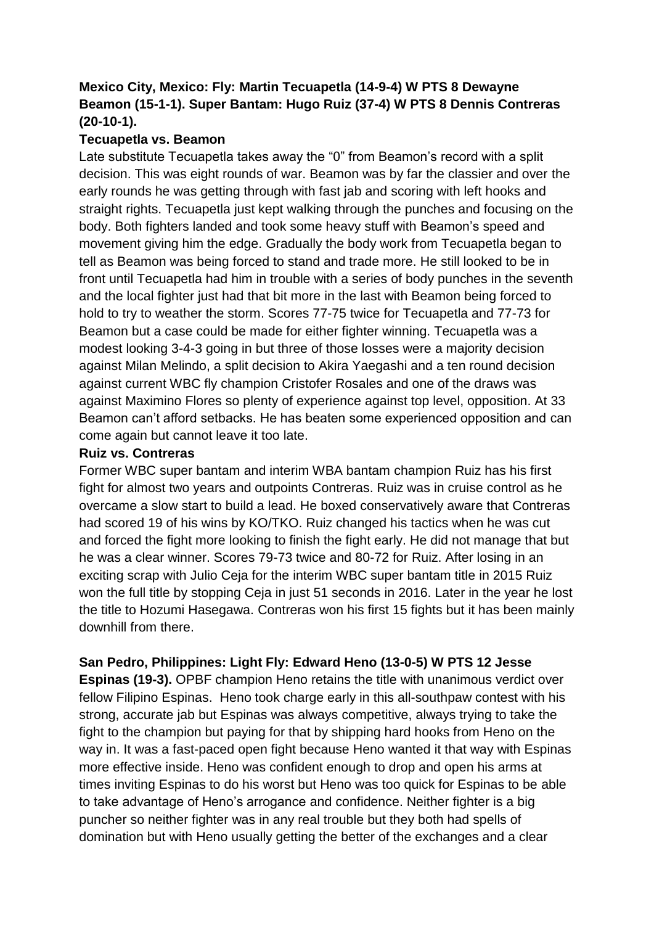## **Mexico City, Mexico: Fly: Martin Tecuapetla (14-9-4) W PTS 8 Dewayne Beamon (15-1-1). Super Bantam: Hugo Ruiz (37-4) W PTS 8 Dennis Contreras (20-10-1).**

### **Tecuapetla vs. Beamon**

Late substitute Tecuapetla takes away the "0" from Beamon's record with a split decision. This was eight rounds of war. Beamon was by far the classier and over the early rounds he was getting through with fast jab and scoring with left hooks and straight rights. Tecuapetla just kept walking through the punches and focusing on the body. Both fighters landed and took some heavy stuff with Beamon's speed and movement giving him the edge. Gradually the body work from Tecuapetla began to tell as Beamon was being forced to stand and trade more. He still looked to be in front until Tecuapetla had him in trouble with a series of body punches in the seventh and the local fighter just had that bit more in the last with Beamon being forced to hold to try to weather the storm. Scores 77-75 twice for Tecuapetla and 77-73 for Beamon but a case could be made for either fighter winning. Tecuapetla was a modest looking 3-4-3 going in but three of those losses were a majority decision against Milan Melindo, a split decision to Akira Yaegashi and a ten round decision against current WBC fly champion Cristofer Rosales and one of the draws was against Maximino Flores so plenty of experience against top level, opposition. At 33 Beamon can't afford setbacks. He has beaten some experienced opposition and can come again but cannot leave it too late.

#### **Ruiz vs. Contreras**

Former WBC super bantam and interim WBA bantam champion Ruiz has his first fight for almost two years and outpoints Contreras. Ruiz was in cruise control as he overcame a slow start to build a lead. He boxed conservatively aware that Contreras had scored 19 of his wins by KO/TKO. Ruiz changed his tactics when he was cut and forced the fight more looking to finish the fight early. He did not manage that but he was a clear winner. Scores 79-73 twice and 80-72 for Ruiz. After losing in an exciting scrap with Julio Ceja for the interim WBC super bantam title in 2015 Ruiz won the full title by stopping Ceja in just 51 seconds in 2016. Later in the year he lost the title to Hozumi Hasegawa. Contreras won his first 15 fights but it has been mainly downhill from there.

#### **San Pedro, Philippines: Light Fly: Edward Heno (13-0-5) W PTS 12 Jesse**

**Espinas (19-3).** OPBF champion Heno retains the title with unanimous verdict over fellow Filipino Espinas. Heno took charge early in this all-southpaw contest with his strong, accurate jab but Espinas was always competitive, always trying to take the fight to the champion but paying for that by shipping hard hooks from Heno on the way in. It was a fast-paced open fight because Heno wanted it that way with Espinas more effective inside. Heno was confident enough to drop and open his arms at times inviting Espinas to do his worst but Heno was too quick for Espinas to be able to take advantage of Heno's arrogance and confidence. Neither fighter is a big puncher so neither fighter was in any real trouble but they both had spells of domination but with Heno usually getting the better of the exchanges and a clear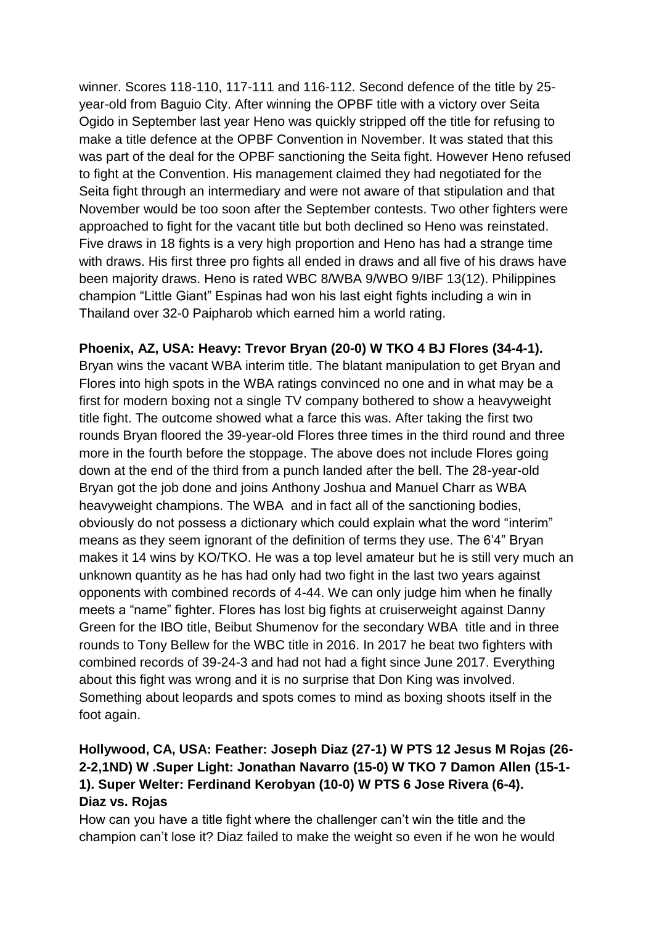winner. Scores 118-110, 117-111 and 116-112. Second defence of the title by 25 year-old from Baguio City. After winning the OPBF title with a victory over Seita Ogido in September last year Heno was quickly stripped off the title for refusing to make a title defence at the OPBF Convention in November. It was stated that this was part of the deal for the OPBF sanctioning the Seita fight. However Heno refused to fight at the Convention. His management claimed they had negotiated for the Seita fight through an intermediary and were not aware of that stipulation and that November would be too soon after the September contests. Two other fighters were approached to fight for the vacant title but both declined so Heno was reinstated. Five draws in 18 fights is a very high proportion and Heno has had a strange time with draws. His first three pro fights all ended in draws and all five of his draws have been majority draws. Heno is rated WBC 8/WBA 9/WBO 9/IBF 13(12). Philippines champion "Little Giant" Espinas had won his last eight fights including a win in Thailand over 32-0 Paipharob which earned him a world rating.

**Phoenix, AZ, USA: Heavy: Trevor Bryan (20-0) W TKO 4 BJ Flores (34-4-1).**  Bryan wins the vacant WBA interim title. The blatant manipulation to get Bryan and Flores into high spots in the WBA ratings convinced no one and in what may be a first for modern boxing not a single TV company bothered to show a heavyweight title fight. The outcome showed what a farce this was. After taking the first two rounds Bryan floored the 39-year-old Flores three times in the third round and three more in the fourth before the stoppage. The above does not include Flores going down at the end of the third from a punch landed after the bell. The 28-year-old Bryan got the job done and joins Anthony Joshua and Manuel Charr as WBA heavyweight champions. The WBA and in fact all of the sanctioning bodies, obviously do not possess a dictionary which could explain what the word "interim" means as they seem ignorant of the definition of terms they use. The 6'4" Bryan makes it 14 wins by KO/TKO. He was a top level amateur but he is still very much an unknown quantity as he has had only had two fight in the last two years against opponents with combined records of 4-44. We can only judge him when he finally meets a "name" fighter. Flores has lost big fights at cruiserweight against Danny Green for the IBO title, Beibut Shumenov for the secondary WBA title and in three rounds to Tony Bellew for the WBC title in 2016. In 2017 he beat two fighters with combined records of 39-24-3 and had not had a fight since June 2017. Everything about this fight was wrong and it is no surprise that Don King was involved. Something about leopards and spots comes to mind as boxing shoots itself in the foot again.

# **Hollywood, CA, USA: Feather: Joseph Diaz (27-1) W PTS 12 Jesus M Rojas (26- 2-2,1ND) W .Super Light: Jonathan Navarro (15-0) W TKO 7 Damon Allen (15-1- 1). Super Welter: Ferdinand Kerobyan (10-0) W PTS 6 Jose Rivera (6-4). Diaz vs. Rojas**

How can you have a title fight where the challenger can't win the title and the champion can't lose it? Diaz failed to make the weight so even if he won he would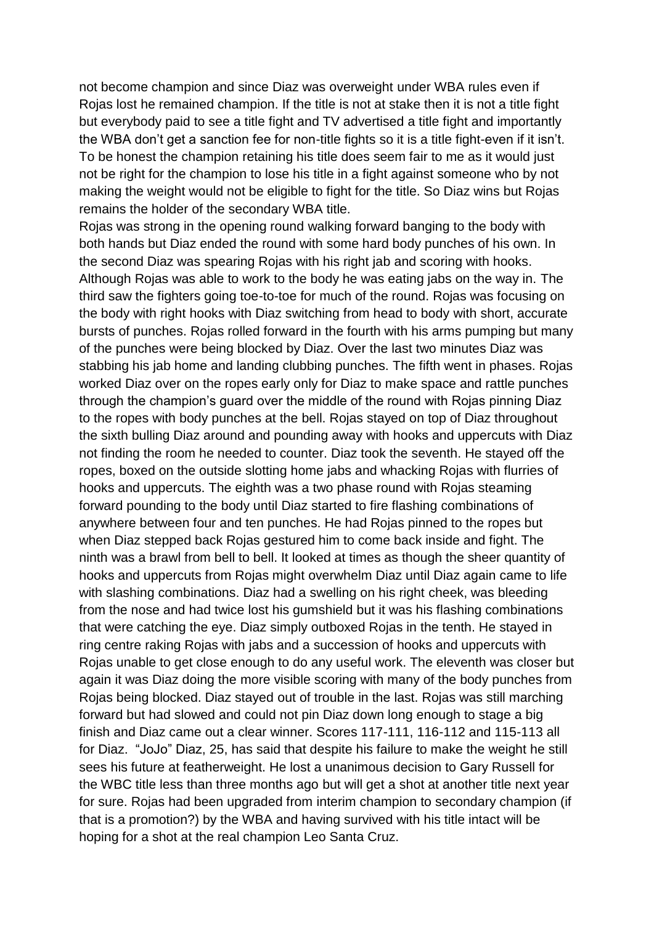not become champion and since Diaz was overweight under WBA rules even if Rojas lost he remained champion. If the title is not at stake then it is not a title fight but everybody paid to see a title fight and TV advertised a title fight and importantly the WBA don't get a sanction fee for non-title fights so it is a title fight-even if it isn't. To be honest the champion retaining his title does seem fair to me as it would just not be right for the champion to lose his title in a fight against someone who by not making the weight would not be eligible to fight for the title. So Diaz wins but Rojas remains the holder of the secondary WBA title.

Rojas was strong in the opening round walking forward banging to the body with both hands but Diaz ended the round with some hard body punches of his own. In the second Diaz was spearing Rojas with his right jab and scoring with hooks. Although Rojas was able to work to the body he was eating jabs on the way in. The third saw the fighters going toe-to-toe for much of the round. Rojas was focusing on the body with right hooks with Diaz switching from head to body with short, accurate bursts of punches. Rojas rolled forward in the fourth with his arms pumping but many of the punches were being blocked by Diaz. Over the last two minutes Diaz was stabbing his jab home and landing clubbing punches. The fifth went in phases. Rojas worked Diaz over on the ropes early only for Diaz to make space and rattle punches through the champion's guard over the middle of the round with Rojas pinning Diaz to the ropes with body punches at the bell. Rojas stayed on top of Diaz throughout the sixth bulling Diaz around and pounding away with hooks and uppercuts with Diaz not finding the room he needed to counter. Diaz took the seventh. He stayed off the ropes, boxed on the outside slotting home jabs and whacking Rojas with flurries of hooks and uppercuts. The eighth was a two phase round with Rojas steaming forward pounding to the body until Diaz started to fire flashing combinations of anywhere between four and ten punches. He had Rojas pinned to the ropes but when Diaz stepped back Rojas gestured him to come back inside and fight. The ninth was a brawl from bell to bell. It looked at times as though the sheer quantity of hooks and uppercuts from Rojas might overwhelm Diaz until Diaz again came to life with slashing combinations. Diaz had a swelling on his right cheek, was bleeding from the nose and had twice lost his gumshield but it was his flashing combinations that were catching the eye. Diaz simply outboxed Rojas in the tenth. He stayed in ring centre raking Rojas with jabs and a succession of hooks and uppercuts with Rojas unable to get close enough to do any useful work. The eleventh was closer but again it was Diaz doing the more visible scoring with many of the body punches from Rojas being blocked. Diaz stayed out of trouble in the last. Rojas was still marching forward but had slowed and could not pin Diaz down long enough to stage a big finish and Diaz came out a clear winner. Scores 117-111, 116-112 and 115-113 all for Diaz. "JoJo" Diaz, 25, has said that despite his failure to make the weight he still sees his future at featherweight. He lost a unanimous decision to Gary Russell for the WBC title less than three months ago but will get a shot at another title next year for sure. Rojas had been upgraded from interim champion to secondary champion (if that is a promotion?) by the WBA and having survived with his title intact will be hoping for a shot at the real champion Leo Santa Cruz.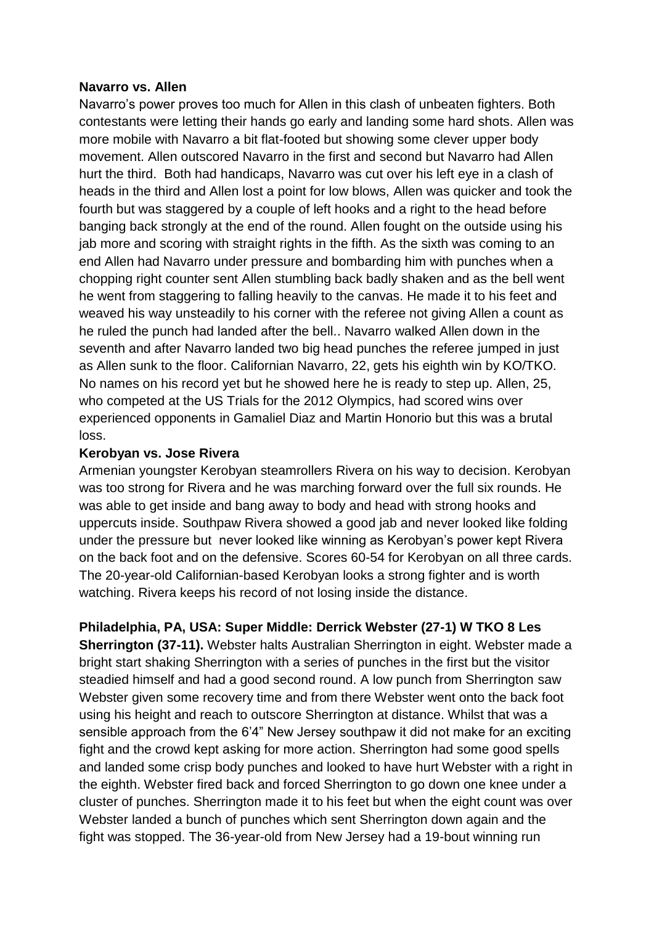#### **Navarro vs. Allen**

Navarro's power proves too much for Allen in this clash of unbeaten fighters. Both contestants were letting their hands go early and landing some hard shots. Allen was more mobile with Navarro a bit flat-footed but showing some clever upper body movement. Allen outscored Navarro in the first and second but Navarro had Allen hurt the third. Both had handicaps, Navarro was cut over his left eye in a clash of heads in the third and Allen lost a point for low blows, Allen was quicker and took the fourth but was staggered by a couple of left hooks and a right to the head before banging back strongly at the end of the round. Allen fought on the outside using his jab more and scoring with straight rights in the fifth. As the sixth was coming to an end Allen had Navarro under pressure and bombarding him with punches when a chopping right counter sent Allen stumbling back badly shaken and as the bell went he went from staggering to falling heavily to the canvas. He made it to his feet and weaved his way unsteadily to his corner with the referee not giving Allen a count as he ruled the punch had landed after the bell.. Navarro walked Allen down in the seventh and after Navarro landed two big head punches the referee jumped in just as Allen sunk to the floor. Californian Navarro, 22, gets his eighth win by KO/TKO. No names on his record yet but he showed here he is ready to step up. Allen, 25, who competed at the US Trials for the 2012 Olympics, had scored wins over experienced opponents in Gamaliel Diaz and Martin Honorio but this was a brutal loss.

#### **Kerobyan vs. Jose Rivera**

Armenian youngster Kerobyan steamrollers Rivera on his way to decision. Kerobyan was too strong for Rivera and he was marching forward over the full six rounds. He was able to get inside and bang away to body and head with strong hooks and uppercuts inside. Southpaw Rivera showed a good jab and never looked like folding under the pressure but never looked like winning as Kerobyan's power kept Rivera on the back foot and on the defensive. Scores 60-54 for Kerobyan on all three cards. The 20-year-old Californian-based Kerobyan looks a strong fighter and is worth watching. Rivera keeps his record of not losing inside the distance.

**Philadelphia, PA, USA: Super Middle: Derrick Webster (27-1) W TKO 8 Les Sherrington (37-11).** Webster halts Australian Sherrington in eight. Webster made a bright start shaking Sherrington with a series of punches in the first but the visitor steadied himself and had a good second round. A low punch from Sherrington saw Webster given some recovery time and from there Webster went onto the back foot using his height and reach to outscore Sherrington at distance. Whilst that was a sensible approach from the 6'4" New Jersey southpaw it did not make for an exciting fight and the crowd kept asking for more action. Sherrington had some good spells and landed some crisp body punches and looked to have hurt Webster with a right in the eighth. Webster fired back and forced Sherrington to go down one knee under a cluster of punches. Sherrington made it to his feet but when the eight count was over Webster landed a bunch of punches which sent Sherrington down again and the fight was stopped. The 36-year-old from New Jersey had a 19-bout winning run